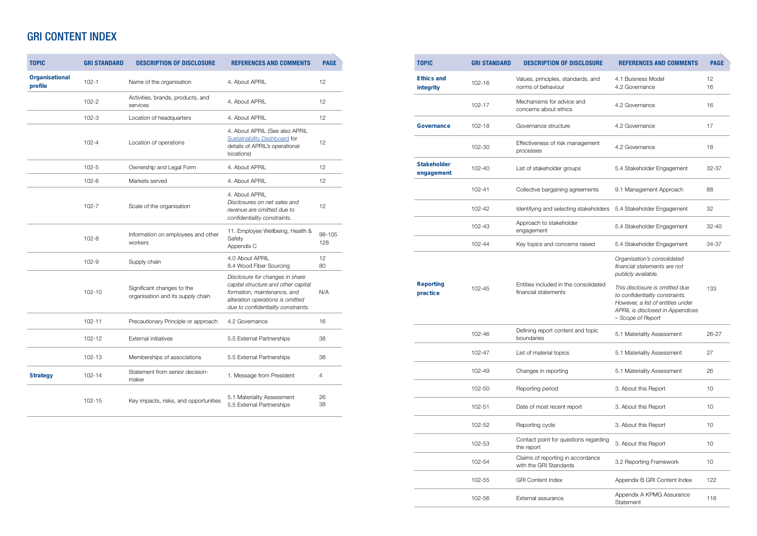| <b>TOPIC</b>              | <b>GRI STANDARD</b> | <b>DESCRIPTION OF DISCLOSURE</b>                                | <b>REFERENCES AND COMMENTS</b>                                                                                                                                                   | <b>PAGE</b>    |
|---------------------------|---------------------|-----------------------------------------------------------------|----------------------------------------------------------------------------------------------------------------------------------------------------------------------------------|----------------|
| Organisational<br>profile | $102 - 1$           | Name of the organisation                                        | 4. About APRIL                                                                                                                                                                   | 12             |
|                           | $102 - 2$           | Activities, brands, products, and<br>services                   | 4. About APRIL                                                                                                                                                                   | 12             |
|                           | $102 - 3$           | Location of headquarters                                        | 4. About APRIL                                                                                                                                                                   | 12             |
|                           | $102 - 4$           | Location of operations                                          | 4. About APRIL (See also APRIL<br><b>Sustainability Dashboard for</b><br>details of APRIL's operational<br>locations)                                                            | 12             |
|                           | $102 - 5$           | Ownership and Legal Form                                        | 4. About APRIL                                                                                                                                                                   | 12             |
|                           | $102 - 6$           | Markets served                                                  | 4. About APRIL                                                                                                                                                                   | 12             |
|                           | $102 - 7$           | Scale of the organisation                                       | 4. About APRIL<br>Disclosures on net sales and<br>revenue are omitted due to<br>confidentiality constraints.                                                                     | 12             |
|                           | $102 - 8$           | Information on employees and other<br>workers                   | 11. Employee Wellbeing, Health &<br>Safety<br>Appendix C                                                                                                                         | 98-105<br>128  |
|                           | $102 - 9$           | Supply chain                                                    | 4.0 About APRIL<br>8.4 Wood Fiber Sourcing                                                                                                                                       | 12<br>80       |
|                           | $102 - 10$          | Significant changes to the<br>organisation and its supply chain | Disclosure for changes in share<br>capital structure and other capital<br>formation, maintenance, and<br>alteration operations is omitted<br>due to confidentiality constraints. | N/A            |
|                           | $102 - 11$          | Precautionary Principle or approach                             | 4.2 Governance                                                                                                                                                                   | 16             |
|                           | $102 - 12$          | <b>External initiatives</b>                                     | 5.5 External Partnerships                                                                                                                                                        | 38             |
|                           | 102-13              | Memberships of associations                                     | 5.5 External Partnerships                                                                                                                                                        | 38             |
| <b>Strategy</b>           | $102 - 14$          | Statement from senior decision-<br>maker                        | 1. Message from President                                                                                                                                                        | $\overline{4}$ |
|                           | $102 - 15$          | Key impacts, risks, and opportunities                           | 5.1 Materiality Assessment<br>5.5 External Partnerships                                                                                                                          | 26<br>38       |

## GRI CONTENT INDEX

| <b>TOPIC</b>                     | <b>GRI STANDARD</b> | <b>DESCRIPTION OF DISCLOSURE</b>                              | <b>REFERENCES AND COMMENTS</b>                                                                                                                                  | <b>PAGE</b> |
|----------------------------------|---------------------|---------------------------------------------------------------|-----------------------------------------------------------------------------------------------------------------------------------------------------------------|-------------|
| <b>Ethics and</b><br>integrity   | $102 - 16$          | Values, principles, standards, and<br>norms of behaviour      | 4.1 Buisness Model<br>4.2 Governance                                                                                                                            | 12<br>16    |
|                                  | $102 - 17$          | Mechanisms for advice and<br>concerns about ethics            | 4.2 Governance                                                                                                                                                  | 16          |
| <b>Governance</b>                | $102 - 18$          | Governance structure                                          | 4.2 Governance                                                                                                                                                  | 17          |
|                                  | 102-30              | Effectiveness of risk management<br>processes                 | 4.2 Governance                                                                                                                                                  | 18          |
| <b>Stakeholder</b><br>engagement | 102-40              | List of stakeholder groups                                    | 5.4 Stakeholder Engagement                                                                                                                                      | 32-37       |
|                                  | $102 - 41$          | Collective bargaining agreements                              | 9.1 Management Approach                                                                                                                                         | 88          |
|                                  | 102-42              | Identifying and selecting stakeholders                        | 5.4 Stakeholder Engagement                                                                                                                                      | 32          |
|                                  | 102-43              | Approach to stakeholder<br>engagement                         | 5.4 Stakeholder Engagement                                                                                                                                      | $32 - 40$   |
|                                  | 102-44              | Key topics and concerns raised                                | 5.4 Stakeholder Engagement                                                                                                                                      | 34-37       |
|                                  |                     |                                                               | Organisation's consolidated<br>financial statements are not<br>publicly available.                                                                              |             |
| <b>Reporting</b><br>practice     | 102-45              | Entities included in the consolidated<br>financial statements | This disclosure is omitted due<br>to confidentiality constraints.<br>However, a list of entities under<br>APRIL is disclosed in Appendices<br>- Scope of Report | 133         |
|                                  | 102-46              | Defining report content and topic<br>boundaries               | 5.1 Materiality Assessment                                                                                                                                      | 26-27       |
|                                  | 102-47              | List of material topics                                       | 5.1 Materiality Assessment                                                                                                                                      | 27          |
|                                  | 102-49              | Changes in reporting                                          | 5.1 Materiality Assessment                                                                                                                                      | 26          |
|                                  | 102-50              | Reporting period                                              | 3. About this Report                                                                                                                                            | 10          |
|                                  | 102-51              | Date of most recent report                                    | 3. About this Report                                                                                                                                            | 10          |
|                                  | 102-52              | Reporting cycle                                               | 3. About this Report                                                                                                                                            | 10          |
|                                  | 102-53              | Contact point for questions regarding<br>the report           | 3. About this Report                                                                                                                                            | 10          |
|                                  | 102-54              | Claims of reporting in accordance<br>with the GRI Standards   | 3.2 Reporting Framework                                                                                                                                         | 10          |
|                                  | 102-55              | <b>GRI Content Index</b>                                      | Appendix B GRI Content Index                                                                                                                                    | 122         |
|                                  | 102-56              | External assurance                                            | Appendix A KPMG Assurance<br>Statement                                                                                                                          | 118         |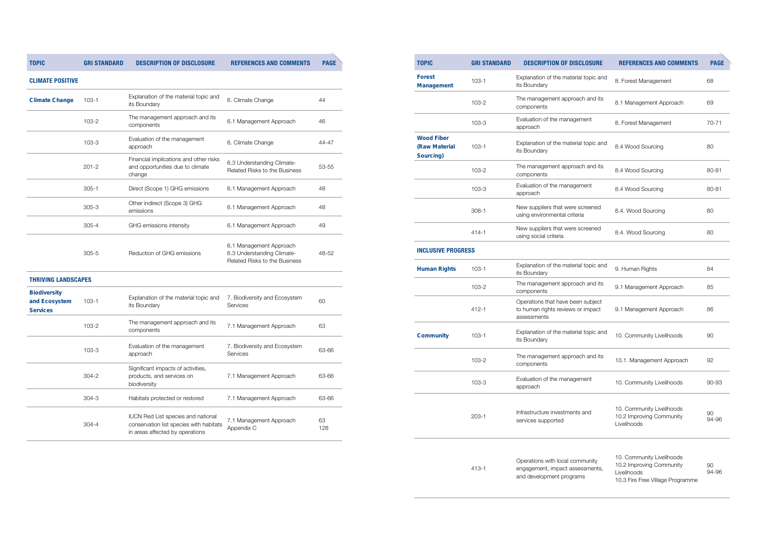| <b>TOPIC</b>                                    | <b>GRI STANDARD</b> | <b>DESCRIPTION OF DISCLOSURE</b>                                                               | <b>REFERENCES AND COMMENTS</b>                                                                           | <b>PAGE</b> |
|-------------------------------------------------|---------------------|------------------------------------------------------------------------------------------------|----------------------------------------------------------------------------------------------------------|-------------|
| <b>Forest</b><br><b>Management</b>              | $103 - 1$           | Explanation of the material topic and<br>its Boundary                                          | 8. Forest Management                                                                                     | 68          |
|                                                 | $103 - 2$           | The management approach and its<br>components                                                  | 8.1 Management Approach                                                                                  | 69          |
|                                                 | $103 - 3$           | Evaluation of the management<br>approach                                                       | 8. Forest Management                                                                                     | 70-71       |
| <b>Wood Fiber</b><br>(Raw Material<br>Sourcing) | $103 - 1$           | Explanation of the material topic and<br>its Boundary                                          | 8.4 Wood Sourcing                                                                                        | 80          |
|                                                 | $103 - 2$           | The management approach and its<br>components                                                  | 8.4 Wood Sourcing                                                                                        | 80-81       |
|                                                 | $103 - 3$           | Evaluation of the management<br>approach                                                       | 8.4 Wood Sourcing                                                                                        | 80-81       |
|                                                 | $308 - 1$           | New suppliers that were screened<br>using environmental criteria                               | 8.4. Wood Sourcing                                                                                       | 80          |
|                                                 | $414 - 1$           | New suppliers that were screened<br>using social criteria                                      | 8.4. Wood Sourcing                                                                                       | 80          |
| <b>INCLUSIVE PROGRESS</b>                       |                     |                                                                                                |                                                                                                          |             |
| <b>Human Rights</b>                             | $103 - 1$           | Explanation of the material topic and<br>its Boundary                                          | 9. Human Rights                                                                                          | 84          |
|                                                 | $103 - 2$           | The management approach and its<br>components                                                  | 9.1 Management Approach                                                                                  | 85          |
|                                                 | $412 - 1$           | Operations that have been subject<br>to human rights reviews or impact<br>assessments          | 9.1 Management Approach                                                                                  | 86          |
| <b>Community</b>                                | $103 - 1$           | Explanation of the material topic and<br>its Boundary                                          | 10. Community Livelihoods                                                                                | 90          |
|                                                 | $103 - 2$           | The management approach and its<br>components                                                  | 10.1. Management Approach                                                                                | 92          |
|                                                 | $103 - 3$           | Evaluation of the management<br>approach                                                       | 10. Community Livelihoods                                                                                | 90-93       |
|                                                 | $203 - 1$           | Infrastructure investments and<br>services supported                                           | 10. Community Livelihoods<br>10.2 Improving Community<br>Livelihoods                                     | 90<br>94-96 |
|                                                 | $413 - 1$           | Operations with local community<br>engagement, impact assessments,<br>and development programs | 10. Community Livelihoods<br>10.2 Improving Community<br>Livelihoods<br>10.3 Fire Free Village Programme | 90<br>94-96 |

**TOPIC GRI STANDARD DESCRIPTION OF DISCLOSURE REFERENCES AND COMMENTS PAGE**

**CLIMATE POSITIVE**

| <b>Climate Change</b>                                   | $103 - 1$ | Explanation of the material topic and<br>its Boundary                                                            | 6. Climate Change                                                                      | 44        |
|---------------------------------------------------------|-----------|------------------------------------------------------------------------------------------------------------------|----------------------------------------------------------------------------------------|-----------|
|                                                         | $103 - 2$ | The management approach and its<br>components                                                                    | 6.1 Management Approach                                                                | 46        |
|                                                         | $103 - 3$ | Evaluation of the management<br>approach                                                                         | 6. Climate Change                                                                      | 44-47     |
|                                                         | $201 - 2$ | Financial implications and other risks<br>and opportunities due to climate<br>change                             | 6.3 Understanding Climate-<br>Related Risks to the Business                            | 53-55     |
|                                                         | $305 - 1$ | Direct (Scope 1) GHG emissions                                                                                   | 6.1 Management Approach                                                                | 48        |
|                                                         | $305 - 3$ | Other indirect (Scope 3) GHG<br>emissions                                                                        | 6.1 Management Approach                                                                | 48        |
|                                                         | $305 - 4$ | GHG emissions intensity                                                                                          | 6.1 Management Approach                                                                | 49        |
|                                                         | $305 - 5$ | Reduction of GHG emissions                                                                                       | 6.1 Management Approach<br>6.3 Understanding Climate-<br>Related Risks to the Business | 48-52     |
| <b>THRIVING LANDSCAPES</b>                              |           |                                                                                                                  |                                                                                        |           |
| <b>Biodiversity</b><br>and Ecosystem<br><b>Services</b> | $103 - 1$ | Explanation of the material topic and<br>its Boundary                                                            | 7. Biodiversity and Ecosystem<br>Services                                              | 60        |
|                                                         | $103 - 2$ | The management approach and its<br>components                                                                    | 7.1 Management Approach                                                                | 63        |
|                                                         | $103 - 3$ | Evaluation of the management<br>approach                                                                         | 7. Biodiversity and Ecosystem<br>Services                                              | 63-66     |
|                                                         | 304-2     | Significant impacts of activities,<br>products, and services on<br>biodiversity                                  | 7.1 Management Approach                                                                | 63-66     |
|                                                         | $304 - 3$ | Habitats protected or restored                                                                                   | 7.1 Management Approach                                                                | 63-66     |
|                                                         | $304 - 4$ | IUCN Red List species and national<br>conservation list species with habitats<br>in areas affected by operations | 7.1 Management Approach<br>Appendix C                                                  | 63<br>128 |
|                                                         |           |                                                                                                                  |                                                                                        |           |